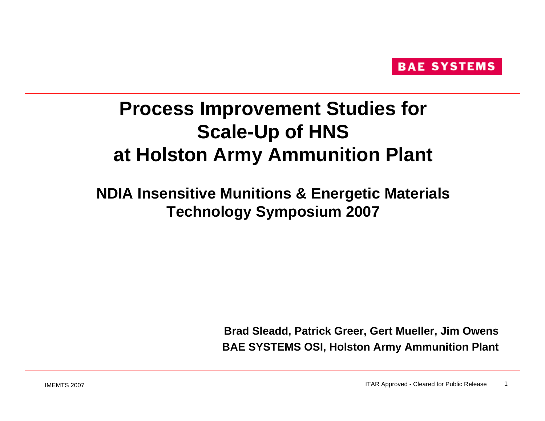## **Process Improvement Studies for Scale-Up of HNS at Holston Army Ammunition Plant**

## **NDIA Insensitive Munitions & Energetic Materials Technology Symposium 2007**

**Brad Sleadd, Patrick Greer, Gert Mueller, Jim Owens BAE SYSTEMS OSI, Holston Army Ammunition Plant**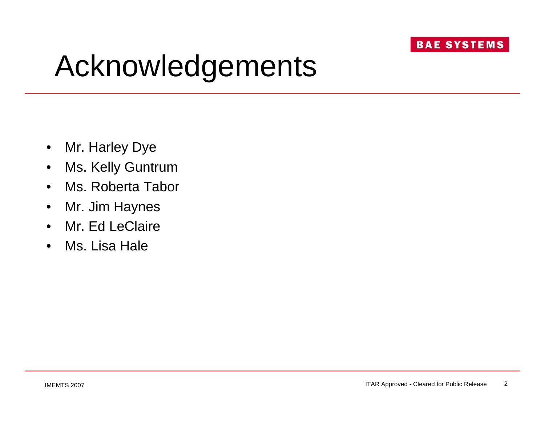## Acknowledgements

- Mr. Harley Dye
- Ms. Kelly Guntrum
- Ms. Roberta Tabor
- Mr. Jim Haynes
- Mr. Ed LeClaire
- Ms. Lisa Hale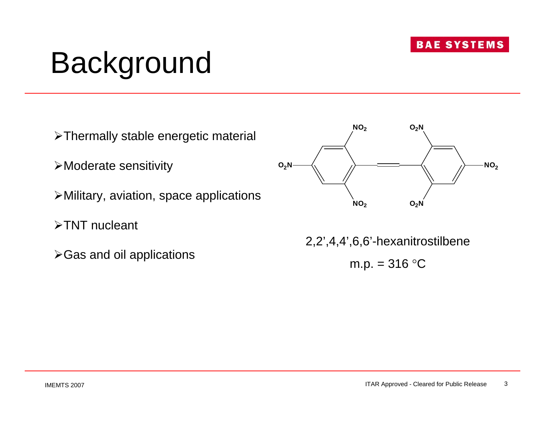# Background

- ¾Thermally stable energetic material
- ¾Moderate sensitivity
- ¾Military, aviation, space applications
- ¾TNT nucleant
- ¾Gas and oil applications



2,2',4,4',6,6'-hexanitrostilbene

m.p.  $= 316 °C$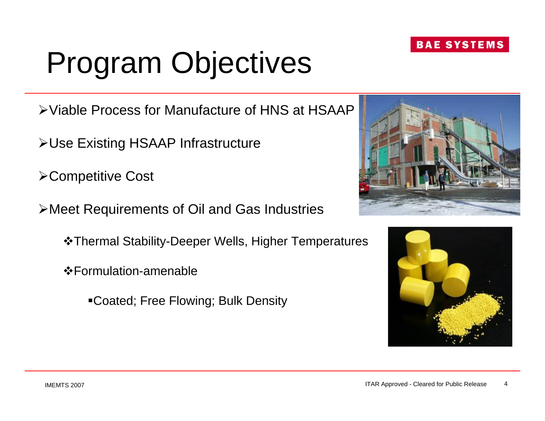#### ITAR Approved - Cleared for Public Release

# Program Objectives

¾Viable Process for Manufacture of HNS at HSAAP

- ¾Use Existing HSAAP Infrastructure
- ¾Competitive Cost
- ¾Meet Requirements of Oil and Gas Industries
	- Thermal Stability-Deeper Wells, Higher Temperatures
	- Formulation-amenable
		- Coated; Free Flowing; Bulk Density



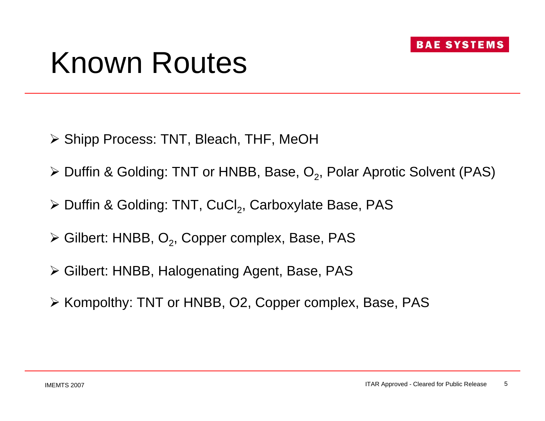## Known Routes

- ¾ Shipp Process: TNT, Bleach, THF, MeOH
- $\triangleright$  Duffin & Golding: TNT or HNBB, Base, O<sub>2</sub>, Polar Aprotic Solvent (PAS)
- $\triangleright$  Duffin & Golding: TNT, CuCl<sub>2</sub>, Carboxylate Base, PAS
- $\triangleright$  Gilbert: HNBB, O<sub>2</sub>, Copper complex, Base, PAS
- ¾ Gilbert: HNBB, Halogenating Agent, Base, PAS
- ¾ Kompolthy: TNT or HNBB, O2, Copper complex, Base, PAS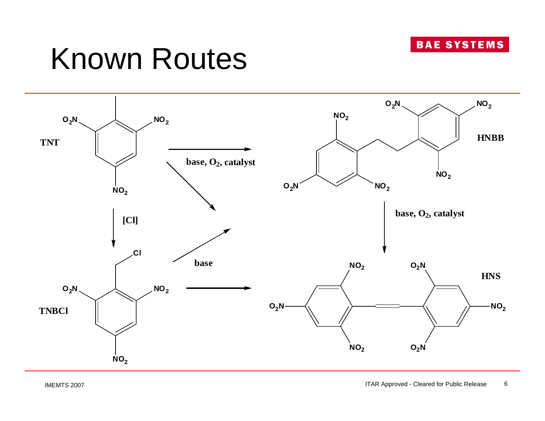

## Known Routes

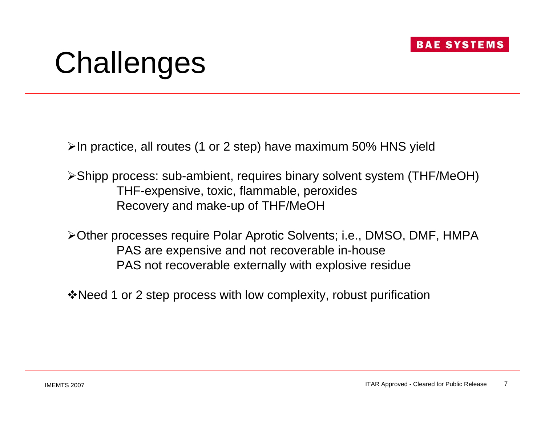

# **Challenges**

¾In practice, all routes (1 or 2 step) have maximum 50% HNS yield

¾Shipp process: sub-ambient, requires binary solvent system (THF/MeOH) THF-expensive, toxic, flammable, peroxides Recovery and make-up of THF/MeOH

¾Other processes require Polar Aprotic Solvents; i.e., DMSO, DMF, HMPA PAS are expensive and not recoverable in-house PAS not recoverable externally with explosive residue

Need 1 or 2 step process with low complexity, robust purification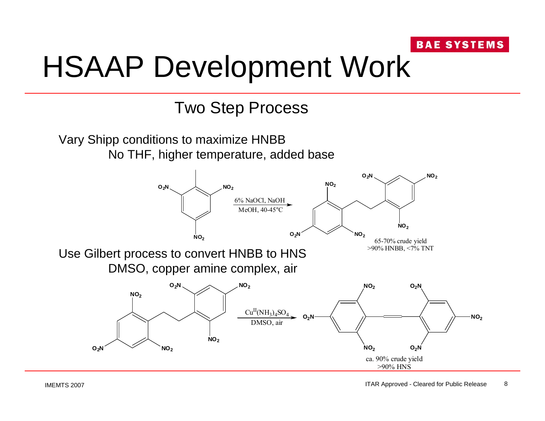# HSAAP Development Work

Two Step Process

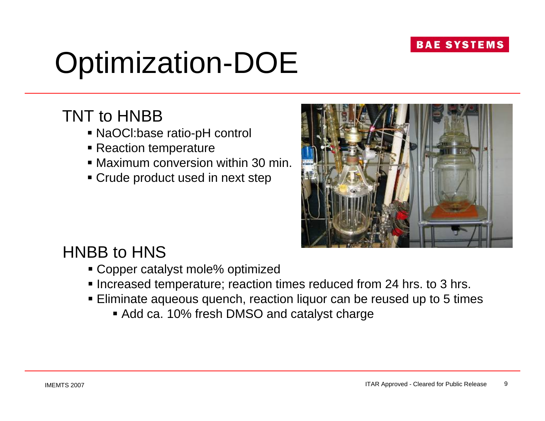# Optimization-DOE

## TNT to HNBB

- NaOCl:base ratio-pH control
- Reaction temperature
- Maximum conversion within 30 min.
- Crude product used in next step



## HNBB to HNS

- Copper catalyst mole% optimized
- **Increased temperature; reaction times reduced from 24 hrs. to 3 hrs.**
- Eliminate aqueous quench, reaction liquor can be reused up to 5 times
	- Add ca. 10% fresh DMSO and catalyst charge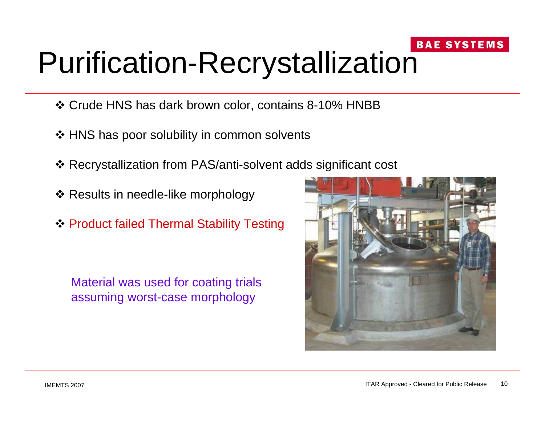## **BAE SYSTEMS** Purification-Recrystallization

- Crude HNS has dark brown color, contains 8-10% HNBB
- ❖ HNS has poor solubility in common solvents
- Recrystallization from PAS/anti-solvent adds significant cost
- ❖ Results in needle-like morphology
- ◆ Product failed Thermal Stability Testing

Material was used for coating trials assuming worst-case morphology

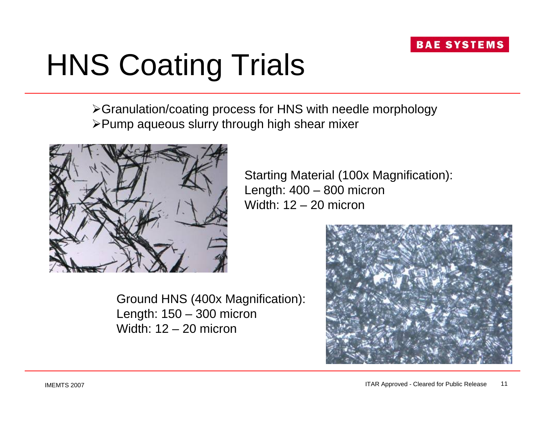# HNS Coating Trials

¾Granulation/coating process for HNS with needle morphology ¾Pump aqueous slurry through high shear mixer



Starting Material (100x Magnification): Length: 400 – 800 micron Width: 12 – 20 micron

Ground HNS (400x Magnification): Length: 150 – 300 micron Width: 12 – 20 micron

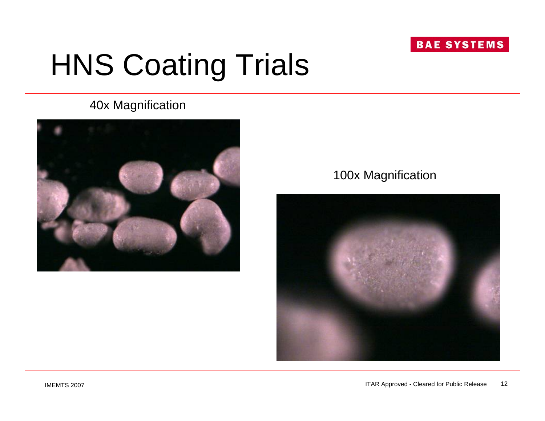# HNS Coating Trials

## 40x Magnification



## 100x Magnification

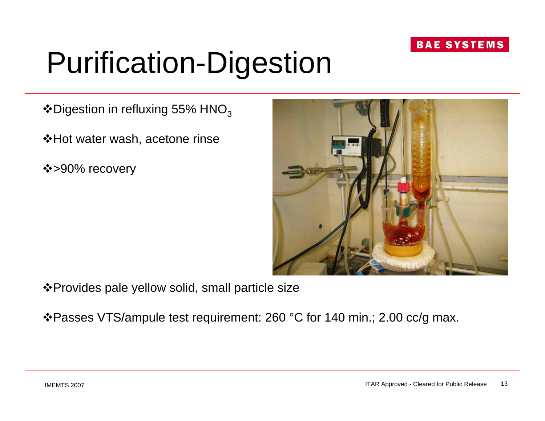# Purification-Digestion

 $\triangle$ Digestion in refluxing 55% HNO<sub>3</sub>

**\*Hot water wash, acetone rinse** 

❖>90% recovery



Provides pale yellow solid, small particle size

Passes VTS/ampule test requirement: 260 °C for 140 min.; 2.00 cc/g max.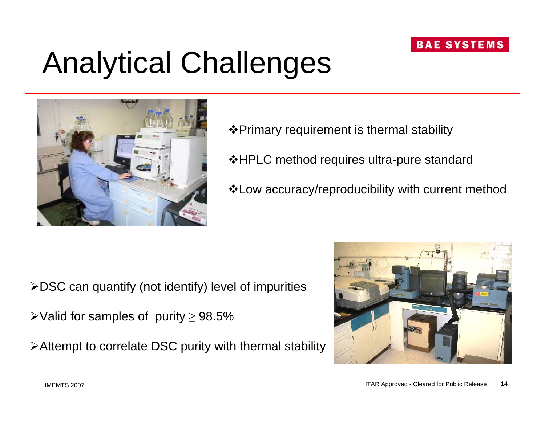# Analytical Challenges



- Primary requirement is thermal stability
- **\*HPLC method requires ultra-pure standard**
- Low accuracy/reproducibility with current method

- $\triangle$ DSC can quantify (not identify) level of impurities
- $\blacktriangleright$ Valid for samples of purity ≥ 98.5%
- ¾Attempt to correlate DSC purity with thermal stability

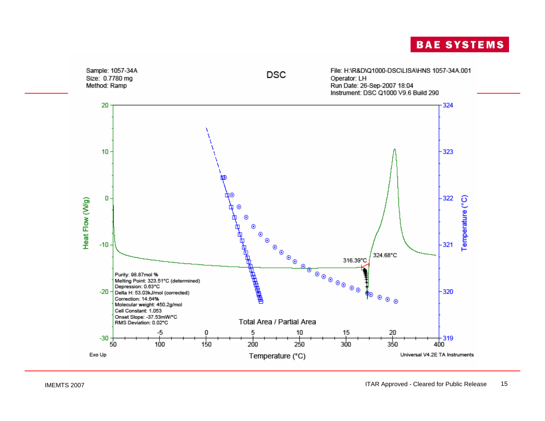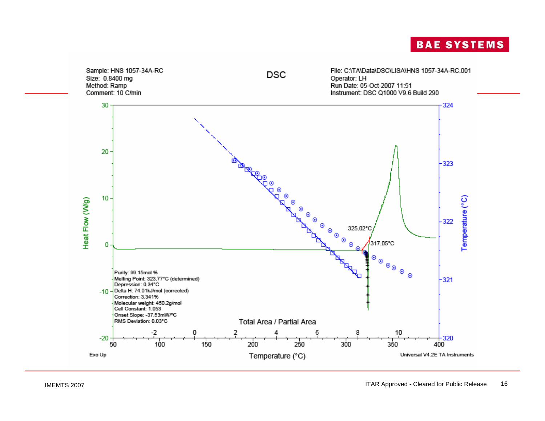